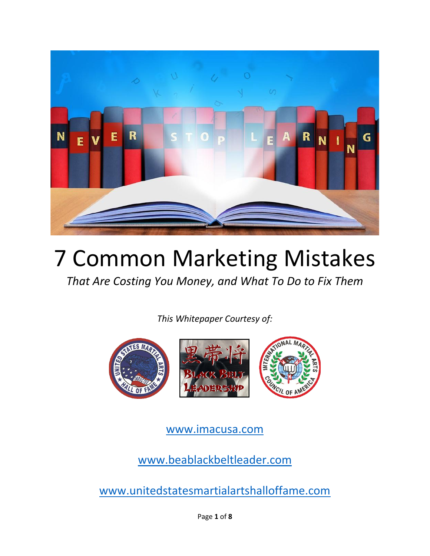

# 7 Common Marketing Mistakes

*That Are Costing You Money, and What To Do to Fix Them*

*This Whitepaper Courtesy of:*



[www.imacusa.com](http://www.imacusa.com/)

[www.beablackbeltleader.com](http://www.beablackbeltleader.com/)

[www.unitedstatesmartialartshalloffame.com](http://www.unitedstatesmartialartshalloffame.com/)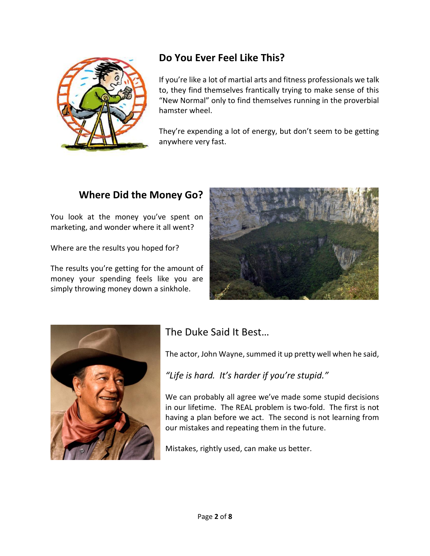

# **Do You Ever Feel Like This?**

If you're like a lot of martial arts and fitness professionals we talk to, they find themselves frantically trying to make sense of this "New Normal" only to find themselves running in the proverbial hamster wheel.

They're expending a lot of energy, but don't seem to be getting anywhere very fast.

### **Where Did the Money Go?**

You look at the money you've spent on marketing, and wonder where it all went?

Where are the results you hoped for?

The results you're getting for the amount of money your spending feels like you are simply throwing money down a sinkhole.





# The Duke Said It Best…

The actor, John Wayne, summed it up pretty well when he said,

*"Life is hard. It's harder if you're stupid."* 

We can probably all agree we've made some stupid decisions in our lifetime. The REAL problem is two-fold. The first is not having a plan before we act. The second is not learning from our mistakes and repeating them in the future.

Mistakes, rightly used, can make us better.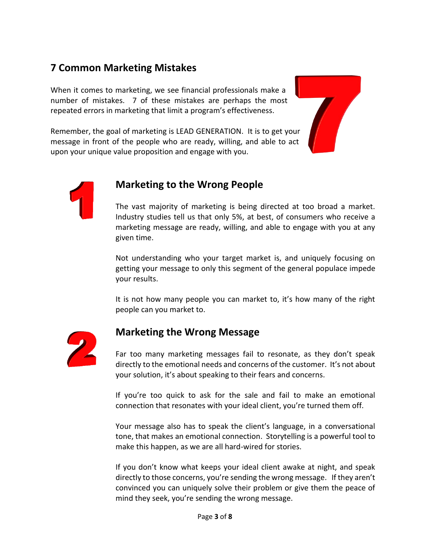## **7 Common Marketing Mistakes**

When it comes to marketing, we see financial professionals make a number of mistakes. 7 of these mistakes are perhaps the most repeated errors in marketing that limit a program's effectiveness.

Remember, the goal of marketing is LEAD GENERATION. It is to get your message in front of the people who are ready, willing, and able to act upon your unique value proposition and engage with you.





#### **Marketing to the Wrong People**

The vast majority of marketing is being directed at too broad a market. Industry studies tell us that only 5%, at best, of consumers who receive a marketing message are ready, willing, and able to engage with you at any given time.

Not understanding who your target market is, and uniquely focusing on getting your message to only this segment of the general populace impede your results.

It is not how many people you can market to, it's how many of the right people can you market to.



#### **Marketing the Wrong Message**

Far too many marketing messages fail to resonate, as they don't speak directly to the emotional needs and concerns of the customer. It's not about your solution, it's about speaking to their fears and concerns.

If you're too quick to ask for the sale and fail to make an emotional connection that resonates with your ideal client, you're turned them off.

Your message also has to speak the client's language, in a conversational tone, that makes an emotional connection. Storytelling is a powerful tool to make this happen, as we are all hard-wired for stories.

If you don't know what keeps your ideal client awake at night, and speak directly to those concerns, you're sending the wrong message. If they aren't convinced you can uniquely solve their problem or give them the peace of mind they seek, you're sending the wrong message.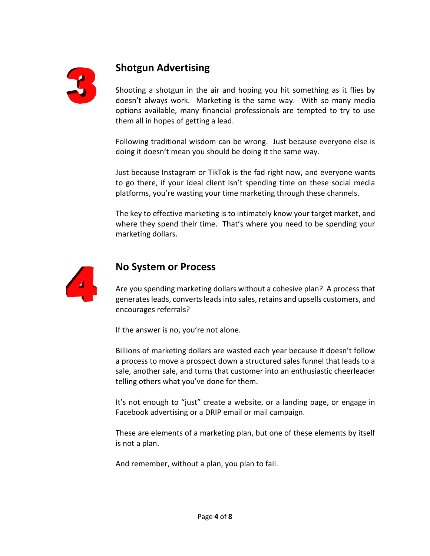

## **Shotgun Advertising**

Shooting a shotgun in the air and hoping you hit something as it flies by doesn't always work. Marketing is the same way. With so many media options available, many financial professionals are tempted to try to use them all in hopes of getting a lead.

Following traditional wisdom can be wrong. Just because everyone else is doing it doesn't mean you should be doing it the same way.

Just because Instagram or TikTok is the fad right now, and everyone wants to go there, if your ideal client isn't spending time on these social media platforms, you're wasting your time marketing through these channels.

The key to effective marketing is to intimately know your target market, and where they spend their time. That's where you need to be spending your marketing dollars.



#### **No System or Process**

Are you spending marketing dollars without a cohesive plan? A process that generates leads, converts leads into sales, retains and upsells customers, and encourages referrals?

If the answer is no, you're not alone.

Billions of marketing dollars are wasted each year because it doesn't follow a process to move a prospect down a structured sales funnel that leads to a sale, another sale, and turns that customer into an enthusiastic cheerleader telling others what you've done for them.

It's not enough to "just" create a website, or a landing page, or engage in Facebook advertising or a DRIP email or mail campaign.

These are elements of a marketing plan, but one of these elements by itself is not a plan.

And remember, without a plan, you plan to fail.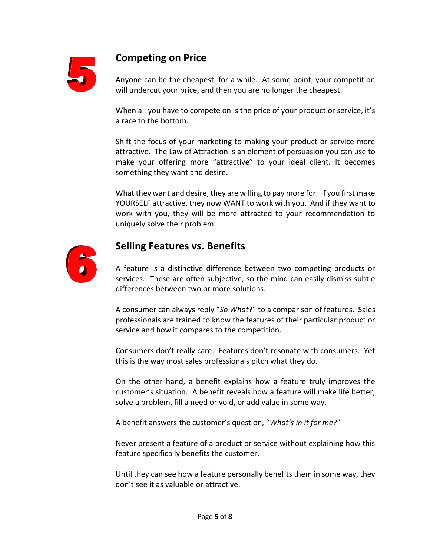

## **Competing on Price**

Anyone can be the cheapest, for a while. At some point, your competition will undercut your price, and then you are no longer the cheapest.

When all you have to compete on is the price of your product or service, it's a race to the bottom.

Shift the focus of your marketing to making your product or service more attractive. The Law of Attraction is an element of persuasion you can use to make your offering more "attractive" to your ideal client. It becomes something they want and desire.

What they want and desire, they are willing to pay more for. If you first make YOURSELF attractive, they now WANT to work with you. And if they want to work with you, they will be more attracted to your recommendation to uniquely solve their problem.



#### **Selling Features vs. Benefits**

A feature is a distinctive difference between two competing products or services. These are often subjective, so the mind can easily dismiss subtle differences between two or more solutions.

A consumer can always reply "*So What*?" to a comparison of features. Sales professionals are trained to know the features of their particular product or service and how it compares to the competition.

Consumers don't really care. Features don't resonate with consumers. Yet this is the way most sales professionals pitch what they do.

On the other hand, a benefit explains how a feature truly improves the customer's situation. A benefit reveals how a feature will make life better, solve a problem, fill a need or void, or add value in some way.

A benefit answers the customer's question, "*What's in it for me*?"

Never present a feature of a product or service without explaining how this feature specifically benefits the customer.

Until they can see how a feature personally benefits them in some way, they don't see it as valuable or attractive.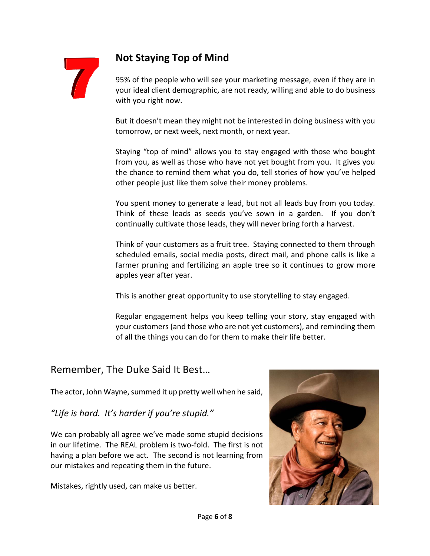

## **Not Staying Top of Mind**

95% of the people who will see your marketing message, even if they are in your ideal client demographic, are not ready, willing and able to do business with you right now.

But it doesn't mean they might not be interested in doing business with you tomorrow, or next week, next month, or next year.

Staying "top of mind" allows you to stay engaged with those who bought from you, as well as those who have not yet bought from you. It gives you the chance to remind them what you do, tell stories of how you've helped other people just like them solve their money problems.

You spent money to generate a lead, but not all leads buy from you today. Think of these leads as seeds you've sown in a garden. If you don't continually cultivate those leads, they will never bring forth a harvest.

Think of your customers as a fruit tree. Staying connected to them through scheduled emails, social media posts, direct mail, and phone calls is like a farmer pruning and fertilizing an apple tree so it continues to grow more apples year after year.

This is another great opportunity to use storytelling to stay engaged.

Regular engagement helps you keep telling your story, stay engaged with your customers (and those who are not yet customers), and reminding them of all the things you can do for them to make their life better.

#### Remember, The Duke Said It Best…

The actor, John Wayne, summed it up pretty well when he said,

*"Life is hard. It's harder if you're stupid."* 

We can probably all agree we've made some stupid decisions in our lifetime. The REAL problem is two-fold. The first is not having a plan before we act. The second is not learning from our mistakes and repeating them in the future.

Mistakes, rightly used, can make us better.

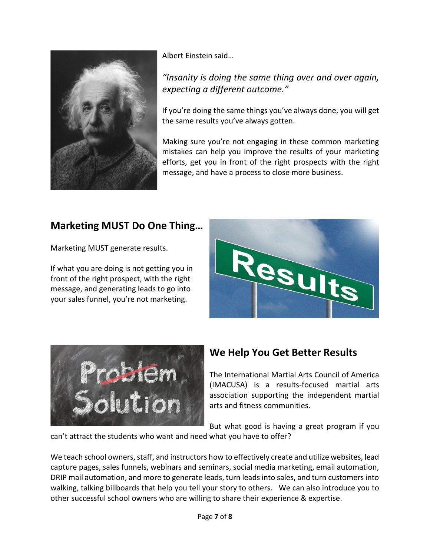

Albert Einstein said…

#### *"Insanity is doing the same thing over and over again, expecting a different outcome."*

If you're doing the same things you've always done, you will get the same results you've always gotten.

Making sure you're not engaging in these common marketing mistakes can help you improve the results of your marketing efforts, get you in front of the right prospects with the right message, and have a process to close more business.

# **Marketing MUST Do One Thing…**

Marketing MUST generate results.

If what you are doing is not getting you in front of the right prospect, with the right message, and generating leads to go into your sales funnel, you're not marketing.





## **We Help You Get Better Results**

The International Martial Arts Council of America (IMACUSA) is a results-focused martial arts association supporting the independent martial arts and fitness communities.

But what good is having a great program if you can't attract the students who want and need what you have to offer?

We teach school owners, staff, and instructors how to effectively create and utilize websites, lead capture pages, sales funnels, webinars and seminars, social media marketing, email automation, DRIP mail automation, and more to generate leads, turn leads into sales, and turn customers into walking, talking billboards that help you tell your story to others. We can also introduce you to other successful school owners who are willing to share their experience & expertise.